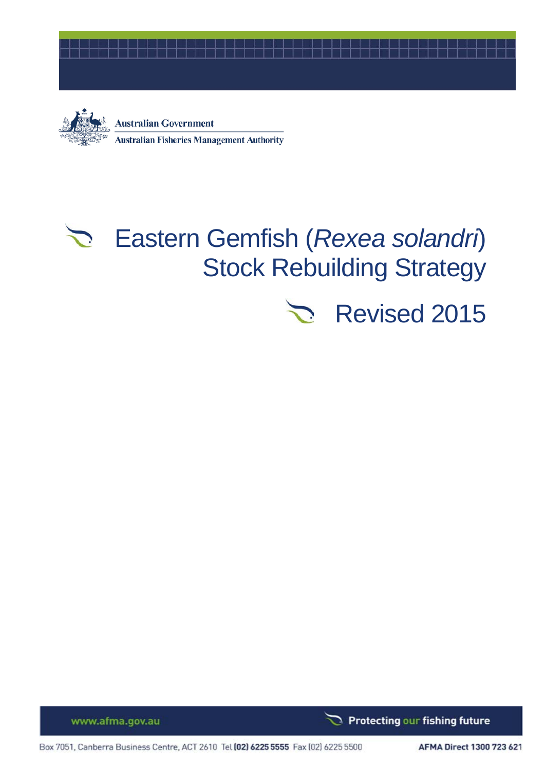



**Australian Government Australian Fisheries Management Authority** 

# Eastern Gemfish (*Rexea solandri*) Stock Rebuilding Strategy

# Revised 2015

www.afma.gov.au

Protecting our fishing future ٦

Box 7051, Canberra Business Centre, ACT 2610 Tel (02) 6225 5555 Fax (02) 6225 5500

AFMA Direct 1300 723 621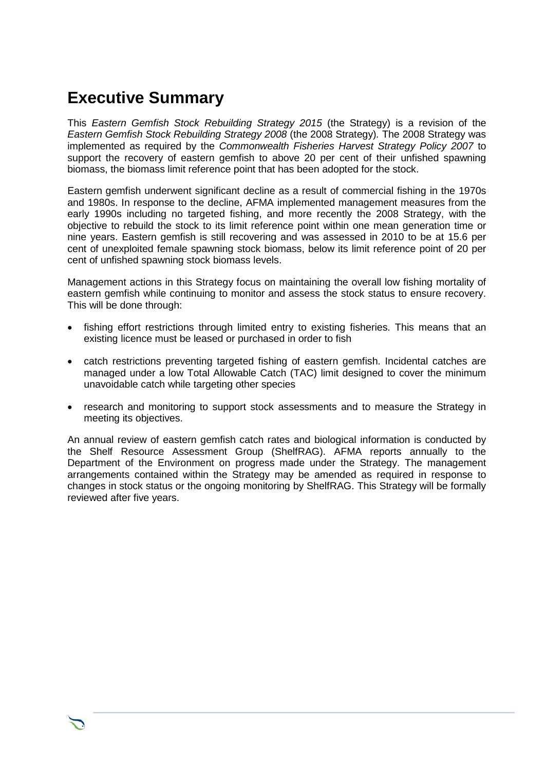## **Executive Summary**

This *Eastern Gemfish Stock Rebuilding Strategy 2015* (the Strategy) is a revision of the *Eastern Gemfish Stock Rebuilding Strategy 2008* (the 2008 Strategy)*.* The 2008 Strategy was implemented as required by the *Commonwealth Fisheries Harvest Strategy Policy 2007* to support the recovery of eastern gemfish to above 20 per cent of their unfished spawning biomass, the biomass limit reference point that has been adopted for the stock.

Eastern gemfish underwent significant decline as a result of commercial fishing in the 1970s and 1980s. In response to the decline, AFMA implemented management measures from the early 1990s including no targeted fishing, and more recently the 2008 Strategy, with the objective to rebuild the stock to its limit reference point within one mean generation time or nine years. Eastern gemfish is still recovering and was assessed in 2010 to be at 15.6 per cent of unexploited female spawning stock biomass, below its limit reference point of 20 per cent of unfished spawning stock biomass levels.

Management actions in this Strategy focus on maintaining the overall low fishing mortality of eastern gemfish while continuing to monitor and assess the stock status to ensure recovery. This will be done through:

- fishing effort restrictions through limited entry to existing fisheries. This means that an existing licence must be leased or purchased in order to fish
- catch restrictions preventing targeted fishing of eastern gemfish. Incidental catches are managed under a low Total Allowable Catch (TAC) limit designed to cover the minimum unavoidable catch while targeting other species
- research and monitoring to support stock assessments and to measure the Strategy in meeting its objectives.

An annual review of eastern gemfish catch rates and biological information is conducted by the Shelf Resource Assessment Group (ShelfRAG). AFMA reports annually to the Department of the Environment on progress made under the Strategy. The management arrangements contained within the Strategy may be amended as required in response to changes in stock status or the ongoing monitoring by ShelfRAG. This Strategy will be formally reviewed after five years.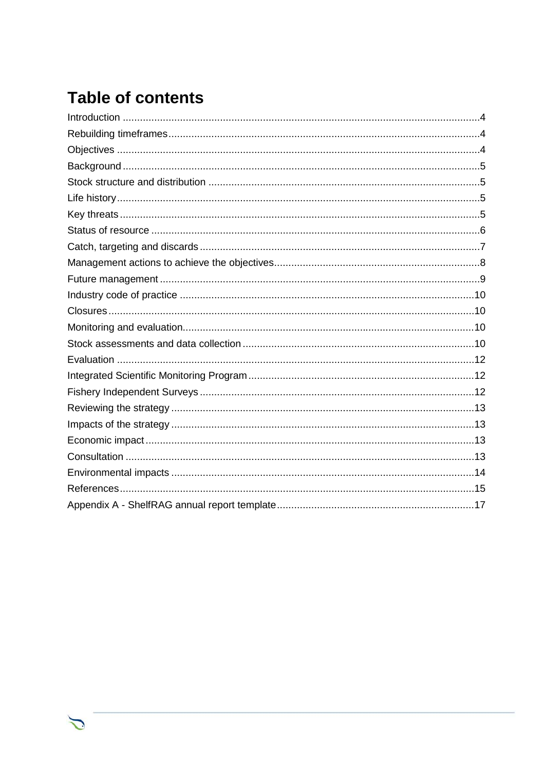## **Table of contents**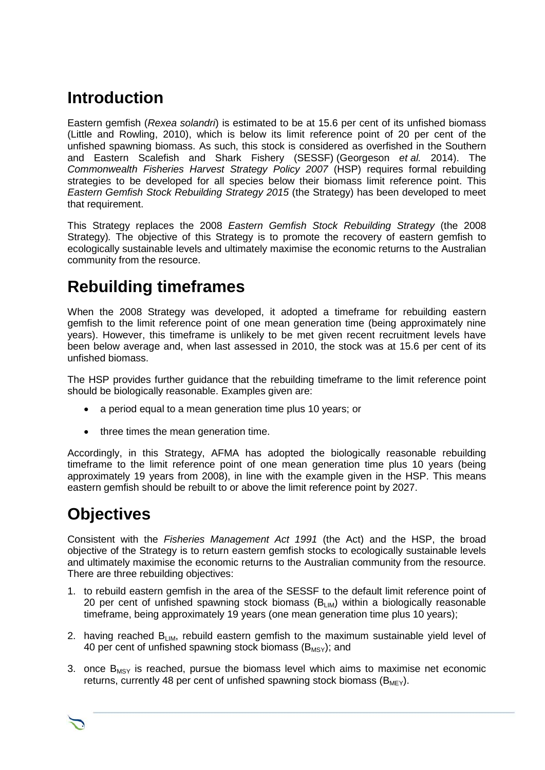## <span id="page-3-0"></span>**Introduction**

Eastern gemfish (*Rexea solandri*) is estimated to be at 15.6 per cent of its unfished biomass (Little and Rowling, 2010), which is below its limit reference point of 20 per cent of the unfished spawning biomass. As such, this stock is considered as overfished in the Southern and Eastern Scalefish and Shark Fishery (SESSF) (Georgeson *et al.* 2014). The *Commonwealth Fisheries Harvest Strategy Policy 2007* (HSP) requires formal rebuilding strategies to be developed for all species below their biomass limit reference point. This *Eastern Gemfish Stock Rebuilding Strategy 2015* (the Strategy) has been developed to meet that requirement.

This Strategy replaces the 2008 *Eastern Gemfish Stock Rebuilding Strategy* (the 2008 Strategy)*.* The objective of this Strategy is to promote the recovery of eastern gemfish to ecologically sustainable levels and ultimately maximise the economic returns to the Australian community from the resource.

## <span id="page-3-1"></span>**Rebuilding timeframes**

When the 2008 Strategy was developed, it adopted a timeframe for rebuilding eastern gemfish to the limit reference point of one mean generation time (being approximately nine years). However, this timeframe is unlikely to be met given recent recruitment levels have been below average and, when last assessed in 2010, the stock was at 15.6 per cent of its unfished biomass.

The HSP provides further guidance that the rebuilding timeframe to the limit reference point should be biologically reasonable. Examples given are:

- a period equal to a mean generation time plus 10 years; or
- three times the mean generation time.

Accordingly, in this Strategy, AFMA has adopted the biologically reasonable rebuilding timeframe to the limit reference point of one mean generation time plus 10 years (being approximately 19 years from 2008), in line with the example given in the HSP. This means eastern gemfish should be rebuilt to or above the limit reference point by 2027.

## <span id="page-3-2"></span>**Objectives**

Consistent with the *Fisheries Management Act 1991* (the Act) and the HSP, the broad objective of the Strategy is to return eastern gemfish stocks to ecologically sustainable levels and ultimately maximise the economic returns to the Australian community from the resource. There are three rebuilding objectives:

- 1. to rebuild eastern gemfish in the area of the SESSF to the default limit reference point of 20 per cent of unfished spawning stock biomass  $(B_{LIM})$  within a biologically reasonable timeframe, being approximately 19 years (one mean generation time plus 10 years);
- 2. having reached  $B_{I,M}$ , rebuild eastern gemfish to the maximum sustainable vield level of 40 per cent of unfished spawning stock biomass  $(B_{MST})$ ; and
- 3. once  $B_{MSV}$  is reached, pursue the biomass level which aims to maximise net economic returns, currently 48 per cent of unfished spawning stock biomass ( $B_{MFY}$ ).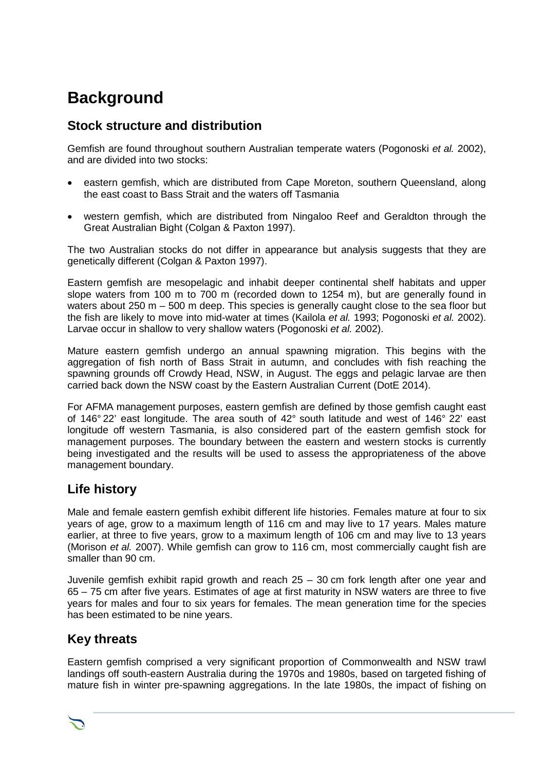## <span id="page-4-0"></span>**Background**

#### <span id="page-4-1"></span>**Stock structure and distribution**

Gemfish are found throughout southern Australian temperate waters (Pogonoski *et al.* 2002), and are divided into two stocks:

- eastern gemfish, which are distributed from Cape Moreton, southern Queensland, along the east coast to Bass Strait and the waters off Tasmania
- western gemfish, which are distributed from Ningaloo Reef and Geraldton through the Great Australian Bight (Colgan & Paxton 1997).

The two Australian stocks do not differ in appearance but analysis suggests that they are genetically different (Colgan & Paxton 1997).

Eastern gemfish are mesopelagic and inhabit deeper continental shelf habitats and upper slope waters from 100 m to 700 m (recorded down to 1254 m), but are generally found in waters about 250 m – 500 m deep. This species is generally caught close to the sea floor but the fish are likely to move into mid-water at times (Kailola *et al.* 1993; Pogonoski *et al.* 2002). Larvae occur in shallow to very shallow waters (Pogonoski *et al.* 2002).

Mature eastern gemfish undergo an annual spawning migration. This begins with the aggregation of fish north of Bass Strait in autumn, and concludes with fish reaching the spawning grounds off Crowdy Head, NSW, in August. The eggs and pelagic larvae are then carried back down the NSW coast by the Eastern Australian Current (DotE 2014).

For AFMA management purposes, eastern gemfish are defined by those gemfish caught east of 146° 22' east longitude. The area south of 42° south latitude and west of 146° 22' east longitude off western Tasmania, is also considered part of the eastern gemfish stock for management purposes. The boundary between the eastern and western stocks is currently being investigated and the results will be used to assess the appropriateness of the above management boundary.

#### <span id="page-4-2"></span>**Life history**

Male and female eastern gemfish exhibit different life histories. Females mature at four to six years of age, grow to a maximum length of 116 cm and may live to 17 years. Males mature earlier, at three to five years, grow to a maximum length of 106 cm and may live to 13 years (Morison *et al.* 2007). While gemfish can grow to 116 cm, most commercially caught fish are smaller than 90 cm.

Juvenile gemfish exhibit rapid growth and reach 25 – 30 cm fork length after one year and 65 – 75 cm after five years. Estimates of age at first maturity in NSW waters are three to five years for males and four to six years for females. The mean generation time for the species has been estimated to be nine years.

#### <span id="page-4-3"></span>**Key threats**

Eastern gemfish comprised a very significant proportion of Commonwealth and NSW trawl landings off south-eastern Australia during the 1970s and 1980s, based on targeted fishing of mature fish in winter pre-spawning aggregations. In the late 1980s, the impact of fishing on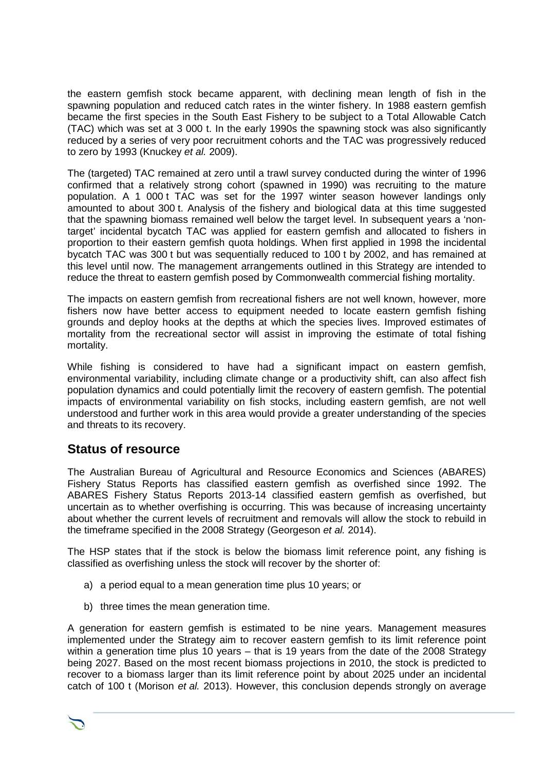the eastern gemfish stock became apparent, with declining mean length of fish in the spawning population and reduced catch rates in the winter fishery. In 1988 eastern gemfish became the first species in the South East Fishery to be subject to a Total Allowable Catch (TAC) which was set at 3 000 t. In the early 1990s the spawning stock was also significantly reduced by a series of very poor recruitment cohorts and the TAC was progressively reduced to zero by 1993 (Knuckey *et al.* 2009).

The (targeted) TAC remained at zero until a trawl survey conducted during the winter of 1996 confirmed that a relatively strong cohort (spawned in 1990) was recruiting to the mature population. A 1 000 t TAC was set for the 1997 winter season however landings only amounted to about 300 t. Analysis of the fishery and biological data at this time suggested that the spawning biomass remained well below the target level. In subsequent years a 'nontarget' incidental bycatch TAC was applied for eastern gemfish and allocated to fishers in proportion to their eastern gemfish quota holdings. When first applied in 1998 the incidental bycatch TAC was 300 t but was sequentially reduced to 100 t by 2002, and has remained at this level until now. The management arrangements outlined in this Strategy are intended to reduce the threat to eastern gemfish posed by Commonwealth commercial fishing mortality.

The impacts on eastern gemfish from recreational fishers are not well known, however, more fishers now have better access to equipment needed to locate eastern gemfish fishing grounds and deploy hooks at the depths at which the species lives. Improved estimates of mortality from the recreational sector will assist in improving the estimate of total fishing mortality.

While fishing is considered to have had a significant impact on eastern gemfish, environmental variability, including climate change or a productivity shift, can also affect fish population dynamics and could potentially limit the recovery of eastern gemfish. The potential impacts of environmental variability on fish stocks, including eastern gemfish, are not well understood and further work in this area would provide a greater understanding of the species and threats to its recovery.

#### <span id="page-5-0"></span>**Status of resource**

The Australian Bureau of Agricultural and Resource Economics and Sciences (ABARES) Fishery Status Reports has classified eastern gemfish as overfished since 1992. The ABARES Fishery Status Reports 2013-14 classified eastern gemfish as overfished, but uncertain as to whether overfishing is occurring. This was because of increasing uncertainty about whether the current levels of recruitment and removals will allow the stock to rebuild in the timeframe specified in the 2008 Strategy (Georgeson *et al.* 2014).

The HSP states that if the stock is below the biomass limit reference point, any fishing is classified as overfishing unless the stock will recover by the shorter of:

- a) a period equal to a mean generation time plus 10 years; or
- b) three times the mean generation time.

A generation for eastern gemfish is estimated to be nine years. Management measures implemented under the Strategy aim to recover eastern gemfish to its limit reference point within a generation time plus 10 years – that is 19 years from the date of the 2008 Strategy being 2027. Based on the most recent biomass projections in 2010, the stock is predicted to recover to a biomass larger than its limit reference point by about 2025 under an incidental catch of 100 t (Morison *et al.* 2013). However, this conclusion depends strongly on average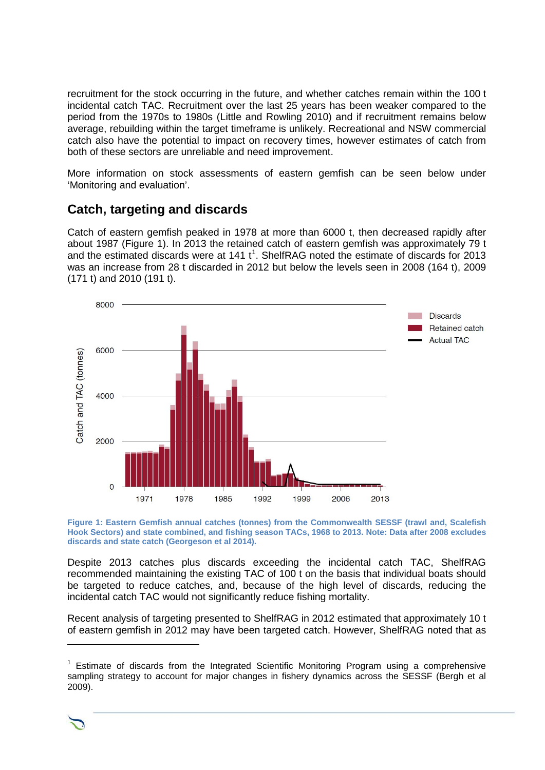recruitment for the stock occurring in the future, and whether catches remain within the 100 t incidental catch TAC. Recruitment over the last 25 years has been weaker compared to the period from the 1970s to 1980s (Little and Rowling 2010) and if recruitment remains below average, rebuilding within the target timeframe is unlikely. Recreational and NSW commercial catch also have the potential to impact on recovery times, however estimates of catch from both of these sectors are unreliable and need improvement.

More information on stock assessments of eastern gemfish can be seen below under 'Monitoring and evaluation'.

#### <span id="page-6-0"></span>**Catch, targeting and discards**

Catch of eastern gemfish peaked in 1978 at more than 6000 t, then decreased rapidly after about 1987 (Figure 1). In 2013 the retained catch of eastern gemfish was approximately 79 t and the estimated discards were at [1](#page-6-1)41  $t<sup>1</sup>$ . ShelfRAG noted the estimate of discards for 2013 was an increase from 28 t discarded in 2012 but below the levels seen in 2008 (164 t), 2009 (171 t) and 2010 (191 t).



**Figure 1: Eastern Gemfish annual catches (tonnes) from the Commonwealth SESSF (trawl and, Scalefish Hook Sectors) and state combined, and fishing season TACs, 1968 to 2013. Note: Data after 2008 excludes discards and state catch (Georgeson et al 2014).**

Despite 2013 catches plus discards exceeding the incidental catch TAC, ShelfRAG recommended maintaining the existing TAC of 100 t on the basis that individual boats should be targeted to reduce catches, and, because of the high level of discards, reducing the incidental catch TAC would not significantly reduce fishing mortality.

Recent analysis of targeting presented to ShelfRAG in 2012 estimated that approximately 10 t of eastern gemfish in 2012 may have been targeted catch. However, ShelfRAG noted that as

<span id="page-6-1"></span> $1$  Estimate of discards from the Integrated Scientific Monitoring Program using a comprehensive sampling strategy to account for major changes in fishery dynamics across the SESSF (Bergh et al 2009).



 $\overline{a}$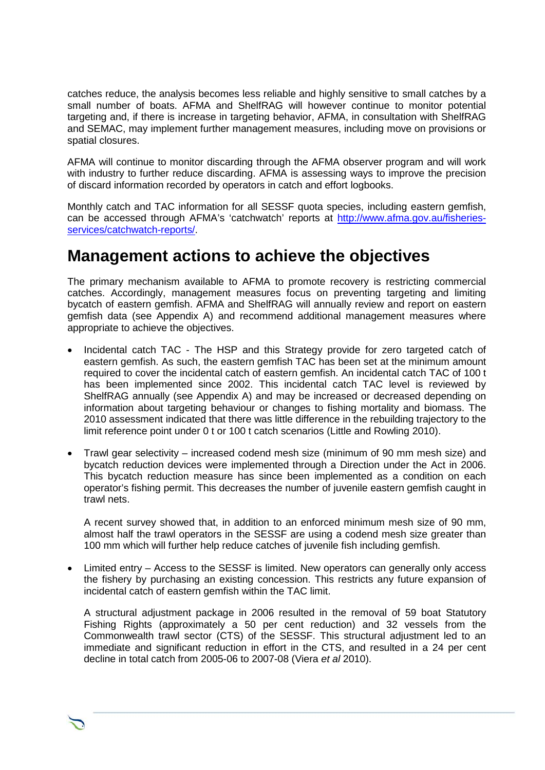catches reduce, the analysis becomes less reliable and highly sensitive to small catches by a small number of boats. AFMA and ShelfRAG will however continue to monitor potential targeting and, if there is increase in targeting behavior, AFMA, in consultation with ShelfRAG and SEMAC, may implement further management measures, including move on provisions or spatial closures.

AFMA will continue to monitor discarding through the AFMA observer program and will work with industry to further reduce discarding. AFMA is assessing ways to improve the precision of discard information recorded by operators in catch and effort logbooks.

Monthly catch and TAC information for all SESSF quota species, including eastern gemfish, can be accessed through AFMA's 'catchwatch' reports at [http://www.afma.gov.au/fisheries](http://www.afma.gov.au/fisheries-services/catchwatch-reports/)[services/catchwatch-reports/.](http://www.afma.gov.au/fisheries-services/catchwatch-reports/)

### <span id="page-7-0"></span>**Management actions to achieve the objectives**

The primary mechanism available to AFMA to promote recovery is restricting commercial catches. Accordingly, management measures focus on preventing targeting and limiting bycatch of eastern gemfish. AFMA and ShelfRAG will annually review and report on eastern gemfish data (see Appendix A) and recommend additional management measures where appropriate to achieve the objectives.

- Incidental catch TAC The HSP and this Strategy provide for zero targeted catch of eastern gemfish. As such, the eastern gemfish TAC has been set at the minimum amount required to cover the incidental catch of eastern gemfish. An incidental catch TAC of 100 t has been implemented since 2002. This incidental catch TAC level is reviewed by ShelfRAG annually (see Appendix A) and may be increased or decreased depending on information about targeting behaviour or changes to fishing mortality and biomass. The 2010 assessment indicated that there was little difference in the rebuilding trajectory to the limit reference point under 0 t or 100 t catch scenarios (Little and Rowling 2010).
- Trawl gear selectivity increased codend mesh size (minimum of 90 mm mesh size) and bycatch reduction devices were implemented through a Direction under the Act in 2006. This bycatch reduction measure has since been implemented as a condition on each operator's fishing permit. This decreases the number of juvenile eastern gemfish caught in trawl nets.

A recent survey showed that, in addition to an enforced minimum mesh size of 90 mm, almost half the trawl operators in the SESSF are using a codend mesh size greater than 100 mm which will further help reduce catches of juvenile fish including gemfish.

• Limited entry – Access to the SESSF is limited. New operators can generally only access the fishery by purchasing an existing concession. This restricts any future expansion of incidental catch of eastern gemfish within the TAC limit.

A structural adjustment package in 2006 resulted in the removal of 59 boat Statutory Fishing Rights (approximately a 50 per cent reduction) and 32 vessels from the Commonwealth trawl sector (CTS) of the SESSF. This structural adjustment led to an immediate and significant reduction in effort in the CTS, and resulted in a 24 per cent decline in total catch from 2005-06 to 2007-08 (Viera *et al* 2010).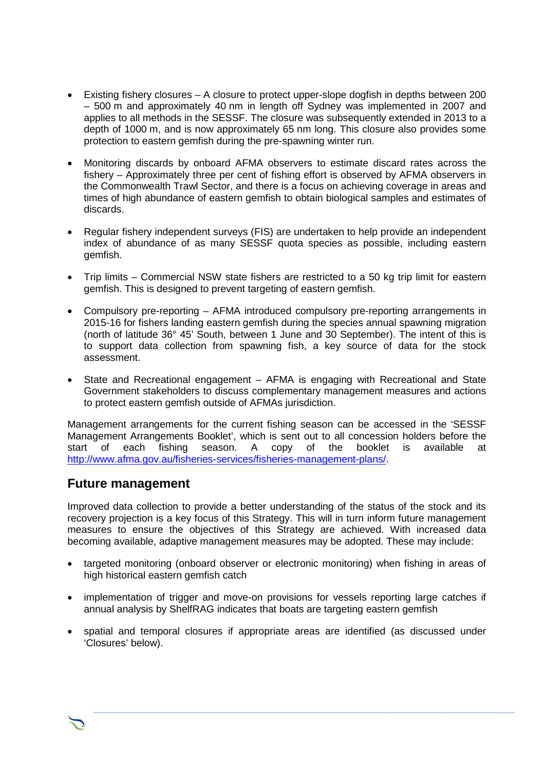- Existing fishery closures A closure to protect upper-slope dogfish in depths between 200 – 500 m and approximately 40 nm in length off Sydney was implemented in 2007 and applies to all methods in the SESSF. The closure was subsequently extended in 2013 to a depth of 1000 m, and is now approximately 65 nm long. This closure also provides some protection to eastern gemfish during the pre-spawning winter run.
- Monitoring discards by onboard AFMA observers to estimate discard rates across the fishery – Approximately three per cent of fishing effort is observed by AFMA observers in the Commonwealth Trawl Sector, and there is a focus on achieving coverage in areas and times of high abundance of eastern gemfish to obtain biological samples and estimates of discards.
- Regular fishery independent surveys (FIS) are undertaken to help provide an independent index of abundance of as many SESSF quota species as possible, including eastern gemfish.
- Trip limits Commercial NSW state fishers are restricted to a 50 kg trip limit for eastern gemfish. This is designed to prevent targeting of eastern gemfish.
- Compulsory pre-reporting AFMA introduced compulsory pre-reporting arrangements in 2015-16 for fishers landing eastern gemfish during the species annual spawning migration (north of latitude 36° 45' South, between 1 June and 30 September). The intent of this is to support data collection from spawning fish, a key source of data for the stock assessment.
- State and Recreational engagement AFMA is engaging with Recreational and State Government stakeholders to discuss complementary management measures and actions to protect eastern gemfish outside of AFMAs jurisdiction.

Management arrangements for the current fishing season can be accessed in the 'SESSF Management Arrangements Booklet', which is sent out to all concession holders before the start of each fishing season. A copy of the booklet is available at [http://www.afma.gov.au/fisheries-services/fisheries-management-plans/.](http://www.afma.gov.au/fisheries-services/fisheries-management-plans/)

#### <span id="page-8-0"></span>**Future management**

Improved data collection to provide a better understanding of the status of the stock and its recovery projection is a key focus of this Strategy. This will in turn inform future management measures to ensure the objectives of this Strategy are achieved. With increased data becoming available, adaptive management measures may be adopted. These may include:

- targeted monitoring (onboard observer or electronic monitoring) when fishing in areas of high historical eastern gemfish catch
- implementation of trigger and move-on provisions for vessels reporting large catches if annual analysis by ShelfRAG indicates that boats are targeting eastern gemfish
- spatial and temporal closures if appropriate areas are identified (as discussed under 'Closures' below).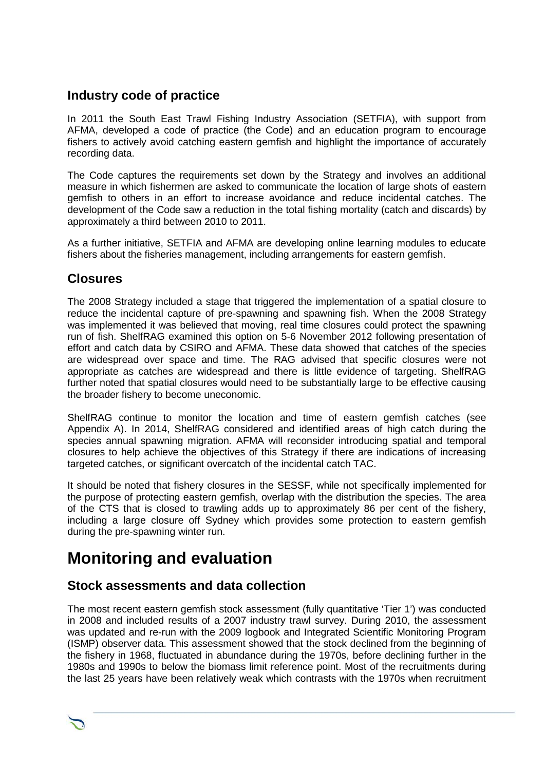#### <span id="page-9-0"></span>**Industry code of practice**

In 2011 the South East Trawl Fishing Industry Association (SETFIA), with support from AFMA, developed a code of practice (the Code) and an education program to encourage fishers to actively avoid catching eastern gemfish and highlight the importance of accurately recording data.

The Code captures the requirements set down by the Strategy and involves an additional measure in which fishermen are asked to communicate the location of large shots of eastern gemfish to others in an effort to increase avoidance and reduce incidental catches. The development of the Code saw a reduction in the total fishing mortality (catch and discards) by approximately a third between 2010 to 2011.

As a further initiative, SETFIA and AFMA are developing online learning modules to educate fishers about the fisheries management, including arrangements for eastern gemfish.

#### <span id="page-9-1"></span>**Closures**

The 2008 Strategy included a stage that triggered the implementation of a spatial closure to reduce the incidental capture of pre-spawning and spawning fish. When the 2008 Strategy was implemented it was believed that moving, real time closures could protect the spawning run of fish. ShelfRAG examined this option on 5-6 November 2012 following presentation of effort and catch data by CSIRO and AFMA. These data showed that catches of the species are widespread over space and time. The RAG advised that specific closures were not appropriate as catches are widespread and there is little evidence of targeting. ShelfRAG further noted that spatial closures would need to be substantially large to be effective causing the broader fishery to become uneconomic.

ShelfRAG continue to monitor the location and time of eastern gemfish catches (see Appendix A). In 2014, ShelfRAG considered and identified areas of high catch during the species annual spawning migration. AFMA will reconsider introducing spatial and temporal closures to help achieve the objectives of this Strategy if there are indications of increasing targeted catches, or significant overcatch of the incidental catch TAC.

It should be noted that fishery closures in the SESSF, while not specifically implemented for the purpose of protecting eastern gemfish, overlap with the distribution the species. The area of the CTS that is closed to trawling adds up to approximately 86 per cent of the fishery, including a large closure off Sydney which provides some protection to eastern gemfish during the pre-spawning winter run.

## <span id="page-9-2"></span>**Monitoring and evaluation**

#### <span id="page-9-3"></span>**Stock assessments and data collection**

The most recent eastern gemfish stock assessment (fully quantitative 'Tier 1') was conducted in 2008 and included results of a 2007 industry trawl survey. During 2010, the assessment was updated and re-run with the 2009 logbook and Integrated Scientific Monitoring Program (ISMP) observer data. This assessment showed that the stock declined from the beginning of the fishery in 1968, fluctuated in abundance during the 1970s, before declining further in the 1980s and 1990s to below the biomass limit reference point. Most of the recruitments during the last 25 years have been relatively weak which contrasts with the 1970s when recruitment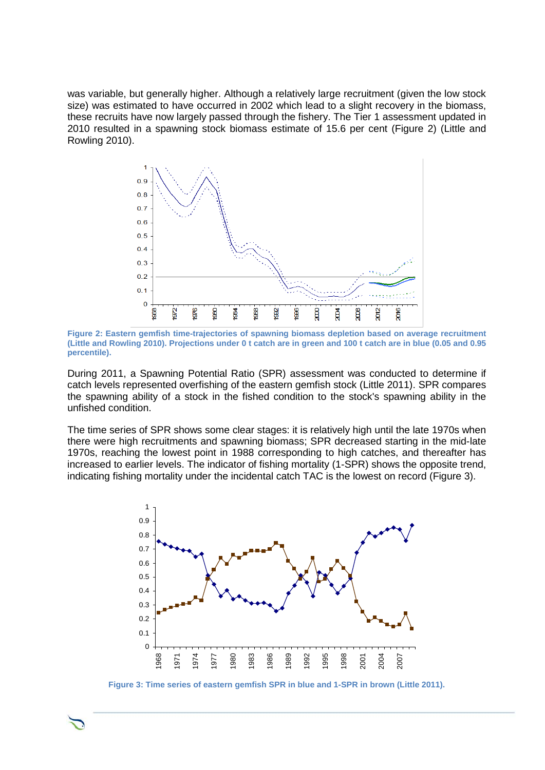was variable, but generally higher. Although a relatively large recruitment (given the low stock size) was estimated to have occurred in 2002 which lead to a slight recovery in the biomass, these recruits have now largely passed through the fishery. The Tier 1 assessment updated in 2010 resulted in a spawning stock biomass estimate of 15.6 per cent (Figure 2) (Little and Rowling 2010).



**Figure 2: Eastern gemfish time-trajectories of spawning biomass depletion based on average recruitment (Little and Rowling 2010). Projections under 0 t catch are in green and 100 t catch are in blue (0.05 and 0.95 percentile).**

During 2011, a Spawning Potential Ratio (SPR) assessment was conducted to determine if catch levels represented overfishing of the eastern gemfish stock (Little 2011). SPR compares the spawning ability of a stock in the fished condition to the stock's spawning ability in the unfished condition.

The time series of SPR shows some clear stages: it is relatively high until the late 1970s when there were high recruitments and spawning biomass; SPR decreased starting in the mid-late 1970s, reaching the lowest point in 1988 corresponding to high catches, and thereafter has increased to earlier levels. The indicator of fishing mortality (1-SPR) shows the opposite trend, indicating fishing mortality under the incidental catch TAC is the lowest on record (Figure 3).



**Figure 3: Time series of eastern gemfish SPR in blue and 1-SPR in brown (Little 2011).**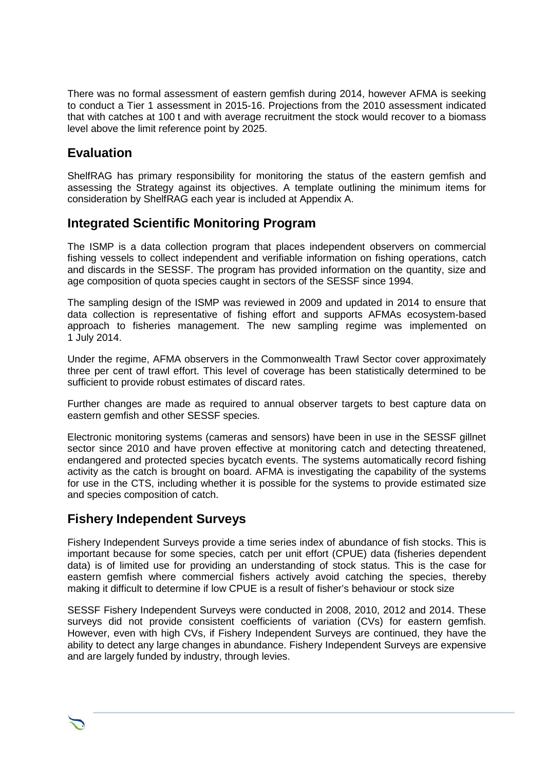There was no formal assessment of eastern gemfish during 2014, however AFMA is seeking to conduct a Tier 1 assessment in 2015-16. Projections from the 2010 assessment indicated that with catches at 100 t and with average recruitment the stock would recover to a biomass level above the limit reference point by 2025.

#### <span id="page-11-0"></span>**Evaluation**

ShelfRAG has primary responsibility for monitoring the status of the eastern gemfish and assessing the Strategy against its objectives. A template outlining the minimum items for consideration by ShelfRAG each year is included at Appendix A.

#### <span id="page-11-1"></span>**Integrated Scientific Monitoring Program**

The ISMP is a data collection program that places independent observers on commercial fishing vessels to collect independent and verifiable information on fishing operations, catch and discards in the SESSF. The program has provided information on the quantity, size and age composition of quota species caught in sectors of the SESSF since 1994.

The sampling design of the ISMP was reviewed in 2009 and updated in 2014 to ensure that data collection is representative of fishing effort and supports AFMAs ecosystem-based approach to fisheries management. The new sampling regime was implemented on 1 July 2014.

Under the regime, AFMA observers in the Commonwealth Trawl Sector cover approximately three per cent of trawl effort. This level of coverage has been statistically determined to be sufficient to provide robust estimates of discard rates.

Further changes are made as required to annual observer targets to best capture data on eastern gemfish and other SESSF species.

Electronic monitoring systems (cameras and sensors) have been in use in the SESSF gillnet sector since 2010 and have proven effective at monitoring catch and detecting threatened, endangered and protected species bycatch events. The systems automatically record fishing activity as the catch is brought on board. AFMA is investigating the capability of the systems for use in the CTS, including whether it is possible for the systems to provide estimated size and species composition of catch.

#### <span id="page-11-2"></span>**Fishery Independent Surveys**

Fishery Independent Surveys provide a time series index of abundance of fish stocks. This is important because for some species, catch per unit effort (CPUE) data (fisheries dependent data) is of limited use for providing an understanding of stock status. This is the case for eastern gemfish where commercial fishers actively avoid catching the species, thereby making it difficult to determine if low CPUE is a result of fisher's behaviour or stock size

SESSF Fishery Independent Surveys were conducted in 2008, 2010, 2012 and 2014. These surveys did not provide consistent coefficients of variation (CVs) for eastern gemfish. However, even with high CVs, if Fishery Independent Surveys are continued, they have the ability to detect any large changes in abundance. Fishery Independent Surveys are expensive and are largely funded by industry, through levies.

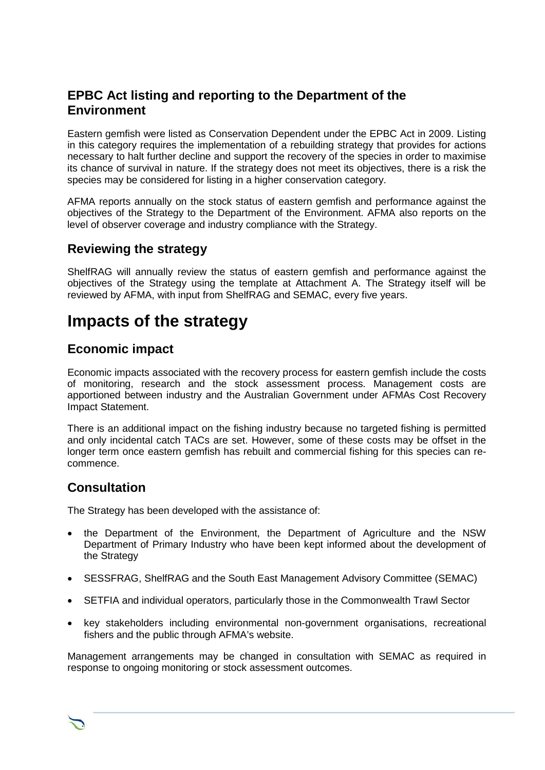#### **EPBC Act listing and reporting to the Department of the Environment**

Eastern gemfish were listed as Conservation Dependent under the EPBC Act in 2009. Listing in this category requires the implementation of a rebuilding strategy that provides for actions necessary to halt further decline and support the recovery of the species in order to maximise its chance of survival in nature. If the strategy does not meet its objectives, there is a risk the species may be considered for listing in a higher conservation category.

AFMA reports annually on the stock status of eastern gemfish and performance against the objectives of the Strategy to the Department of the Environment. AFMA also reports on the level of observer coverage and industry compliance with the Strategy.

#### <span id="page-12-0"></span>**Reviewing the strategy**

ShelfRAG will annually review the status of eastern gemfish and performance against the objectives of the Strategy using the template at Attachment A. The Strategy itself will be reviewed by AFMA, with input from ShelfRAG and SEMAC, every five years.

### <span id="page-12-1"></span>**Impacts of the strategy**

#### <span id="page-12-2"></span>**Economic impact**

Economic impacts associated with the recovery process for eastern gemfish include the costs of monitoring, research and the stock assessment process. Management costs are apportioned between industry and the Australian Government under AFMAs Cost Recovery Impact Statement.

There is an additional impact on the fishing industry because no targeted fishing is permitted and only incidental catch TACs are set. However, some of these costs may be offset in the longer term once eastern gemfish has rebuilt and commercial fishing for this species can recommence.

#### <span id="page-12-3"></span>**Consultation**

The Strategy has been developed with the assistance of:

- the Department of the Environment, the Department of Agriculture and the NSW Department of Primary Industry who have been kept informed about the development of the Strategy
- SESSFRAG, ShelfRAG and the South East Management Advisory Committee (SEMAC)
- SETFIA and individual operators, particularly those in the Commonwealth Trawl Sector
- key stakeholders including environmental non-government organisations, recreational fishers and the public through AFMA's website.

Management arrangements may be changed in consultation with SEMAC as required in response to ongoing monitoring or stock assessment outcomes.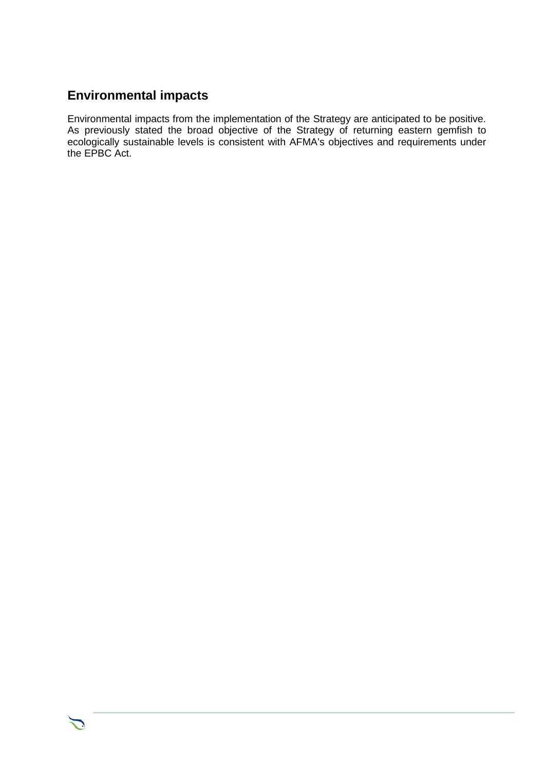#### <span id="page-13-0"></span>**Environmental impacts**

Environmental impacts from the implementation of the Strategy are anticipated to be positive. As previously stated the broad objective of the Strategy of returning eastern gemfish to ecologically sustainable levels is consistent with AFMA's objectives and requirements under the EPBC Act.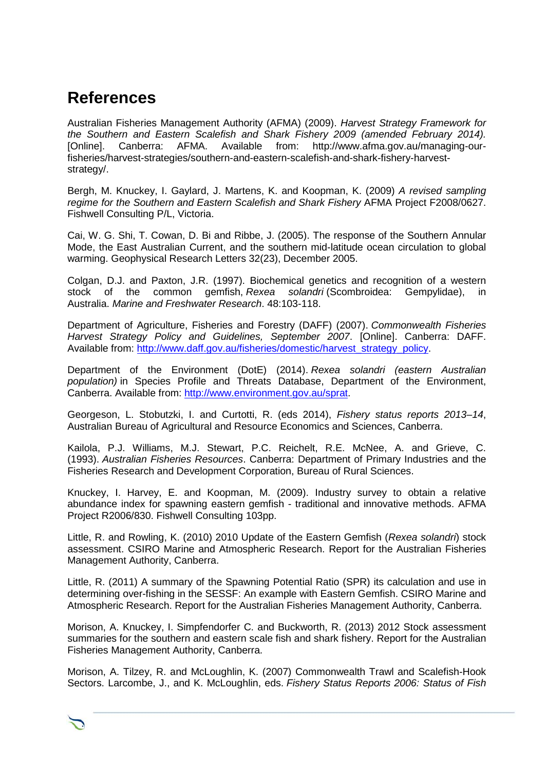## <span id="page-14-0"></span>**References**

Australian Fisheries Management Authority (AFMA) (2009). *Harvest Strategy Framework for the Southern and Eastern Scalefish and Shark Fishery 2009 (amended February 2014).* [Online]. Canberra: AFMA. Available from: http://www.afma.gov.au/managing-ourfisheries/harvest-strategies/southern-and-eastern-scalefish-and-shark-fishery-harveststrategy/.

Bergh, M. Knuckey, I. Gaylard, J. Martens, K. and Koopman, K. (2009) *A revised sampling regime for the Southern and Eastern Scalefish and Shark Fishery* AFMA Project F2008/0627. Fishwell Consulting P/L, Victoria.

Cai, W. G. Shi, T. Cowan, D. Bi and Ribbe, J. (2005). The response of the Southern Annular Mode, the East Australian Current, and the southern mid-latitude ocean circulation to global warming. Geophysical Research Letters 32(23), December 2005.

Colgan, D.J. and Paxton, J.R. (1997). Biochemical genetics and recognition of a western stock of the common gemfish, *Rexea solandri* (Scombroidea: Gempylidae), in Australia. *Marine and Freshwater Research*. 48:103-118.

Department of Agriculture, Fisheries and Forestry (DAFF) (2007). *Commonwealth Fisheries Harvest Strategy Policy and Guidelines, September 2007*. [Online]. Canberra: DAFF. Available from: [http://www.daff.gov.au/fisheries/domestic/harvest\\_strategy\\_policy.](http://www.daff.gov.au/fisheries/domestic/harvest_strategy_policy)

Department of the Environment (DotE) (2014). *Rexea solandri (eastern Australian population)* in Species Profile and Threats Database, Department of the Environment, Canberra. Available from: [http://www.environment.gov.au/sprat.](http://www.environment.gov.au/sprat)

Georgeson, L. Stobutzki, I. and Curtotti, R. (eds 2014), *Fishery status reports 2013–14*, Australian Bureau of Agricultural and Resource Economics and Sciences, Canberra.

Kailola, P.J. Williams, M.J. Stewart, P.C. Reichelt, R.E. McNee, A. and Grieve, C. (1993). *Australian Fisheries Resources*. Canberra: Department of Primary Industries and the Fisheries Research and Development Corporation, Bureau of Rural Sciences.

Knuckey, I. Harvey, E. and Koopman, M. (2009). Industry survey to obtain a relative abundance index for spawning eastern gemfish - traditional and innovative methods. AFMA Project R2006/830. Fishwell Consulting 103pp.

Little, R. and Rowling, K. (2010) 2010 Update of the Eastern Gemfish (*Rexea solandri*) stock assessment. CSIRO Marine and Atmospheric Research. Report for the Australian Fisheries Management Authority, Canberra.

Little, R. (2011) A summary of the Spawning Potential Ratio (SPR) its calculation and use in determining over-fishing in the SESSF: An example with Eastern Gemfish. CSIRO Marine and Atmospheric Research. Report for the Australian Fisheries Management Authority, Canberra.

Morison, A. Knuckey, I. Simpfendorfer C. and Buckworth, R. (2013) 2012 Stock assessment summaries for the southern and eastern scale fish and shark fishery. Report for the Australian Fisheries Management Authority, Canberra.

Morison, A. Tilzey, R. and McLoughlin, K. (2007) Commonwealth Trawl and Scalefish-Hook Sectors. Larcombe, J., and K. McLoughlin, eds. *Fishery Status Reports 2006: Status of Fish*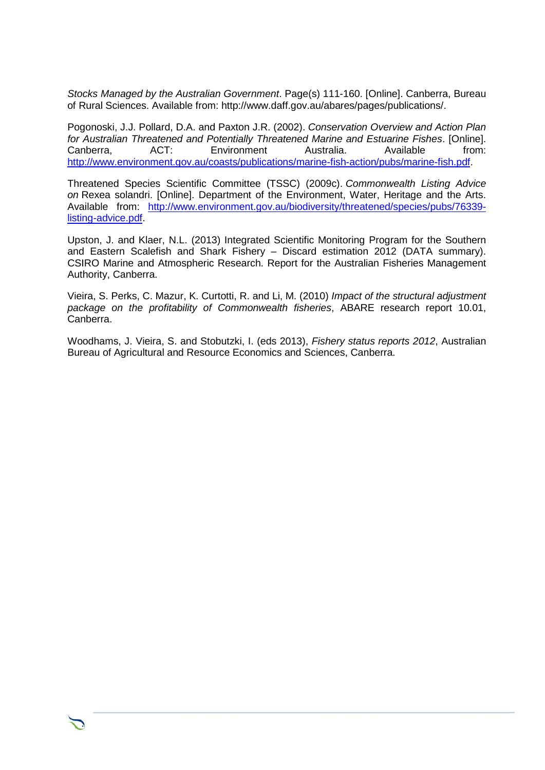*Stocks Managed by the Australian Government*. Page(s) 111-160. [Online]. Canberra, Bureau of Rural Sciences. Available from: http://www.daff.gov.au/abares/pages/publications/.

Pogonoski, J.J. Pollard, D.A. and Paxton J.R. (2002). *Conservation Overview and Action Plan for Australian Threatened and Potentially Threatened Marine and Estuarine Fishes*. [Online]. Environment [http://www.environment.gov.au/coasts/publications/marine-fish-action/pubs/marine-fish.pdf.](http://www.environment.gov.au/coasts/publications/marine-fish-action/pubs/marine-fish.pdf)

Threatened Species Scientific Committee (TSSC) (2009c). *Commonwealth Listing Advice on* Rexea solandri. [Online]. Department of the Environment, Water, Heritage and the Arts. Available from: [http://www.environment.gov.au/biodiversity/threatened/species/pubs/76339](http://www.environment.gov.au/biodiversity/threatened/species/pubs/76339-listing-advice.pdf) [listing-advice.pdf.](http://www.environment.gov.au/biodiversity/threatened/species/pubs/76339-listing-advice.pdf)

Upston, J. and Klaer, N.L. (2013) Integrated Scientific Monitoring Program for the Southern and Eastern Scalefish and Shark Fishery - Discard estimation 2012 (DATA summary). CSIRO Marine and Atmospheric Research. Report for the Australian Fisheries Management Authority, Canberra.

Vieira, S. Perks, C. Mazur, K. Curtotti, R. and Li, M. (2010) *Impact of the structural adjustment package on the profitability of Commonwealth fisheries*, ABARE research report 10.01, Canberra.

Woodhams, J. Vieira, S. and Stobutzki, I. (eds 2013), *Fishery status reports 2012*, Australian Bureau of Agricultural and Resource Economics and Sciences, Canberra.